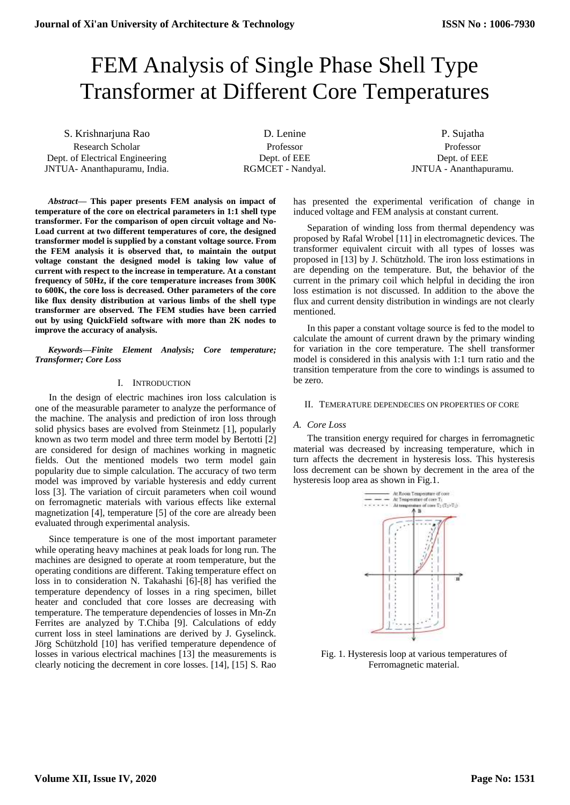# FEM Analysis of Single Phase Shell Type Transformer at Different Core Temperatures

S. Krishnarjuna Rao Research Scholar Dept. of Electrical Engineering JNTUA- Ananthapuramu, India.

D. Lenine Professor Dept. of EEE RGMCET - Nandyal.

P. Sujatha Professor Dept. of EEE JNTUA - Ananthapuramu.

*Abstract***— This paper presents FEM analysis on impact of temperature of the core on electrical parameters in 1:1 shell type transformer. For the comparison of open circuit voltage and No-Load current at two different temperatures of core, the designed transformer model is supplied by a constant voltage source. From the FEM analysis it is observed that, to maintain the output voltage constant the designed model is taking low value of current with respect to the increase in temperature. At a constant frequency of 50Hz, if the core temperature increases from 300K to 600K, the core loss is decreased. Other parameters of the core like flux density distribution at various limbs of the shell type transformer are observed. The FEM studies have been carried out by using QuickField software with more than 2K nodes to improve the accuracy of analysis.** 

*Keywords—Finite Element Analysis; Core temperature; Transformer; Core Loss*

# I. INTRODUCTION

In the design of electric machines iron loss calculation is one of the measurable parameter to analyze the performance of the machine. The analysis and prediction of iron loss through solid physics bases are evolved from Steinmetz [1], popularly known as two term model and three term model by Bertotti [2] are considered for design of machines working in magnetic fields. Out the mentioned models two term model gain popularity due to simple calculation. The accuracy of two term model was improved by variable hysteresis and eddy current loss [3]. The variation of circuit parameters when coil wound on ferromagnetic materials with various effects like external magnetization [4], temperature [5] of the core are already been evaluated through experimental analysis.

Since temperature is one of the most important parameter while operating heavy machines at peak loads for long run. The machines are designed to operate at room temperature, but the operating conditions are different. Taking temperature effect on loss in to consideration N. Takahashi [6]-[8] has verified the temperature dependency of losses in a ring specimen, billet heater and concluded that core losses are decreasing with temperature. The temperature dependencies of losses in Mn-Zn Ferrites are analyzed by T.Chiba [9]. Calculations of eddy current loss in steel laminations are derived by J. Gyselinck. Jörg Schützhold [10] has verified temperature dependence of losses in various electrical machines [13] the measurements is clearly noticing the decrement in core losses. [14], [15] S. Rao

has presented the experimental verification of change in induced voltage and FEM analysis at constant current.

Separation of winding loss from thermal dependency was proposed by Rafal Wrobel [11] in electromagnetic devices. The transformer equivalent circuit with all types of losses was proposed in [13] by J. Schützhold. The iron loss estimations in are depending on the temperature. But, the behavior of the current in the primary coil which helpful in deciding the iron loss estimation is not discussed. In addition to the above the flux and current density distribution in windings are not clearly mentioned.

In this paper a constant voltage source is fed to the model to calculate the amount of current drawn by the primary winding for variation in the core temperature. The shell transformer model is considered in this analysis with 1:1 turn ratio and the transition temperature from the core to windings is assumed to be zero.

# II. TEMERATURE DEPENDECIES ON PROPERTIES OF CORE

# *A. Core Loss*

The transition energy required for charges in ferromagnetic material was decreased by increasing temperature, which in turn affects the decrement in hysteresis loss. This hysteresis loss decrement can be shown by decrement in the area of the hysteresis loop area as shown in Fig.1.



Fig. 1. Hysteresis loop at various temperatures of Ferromagnetic material.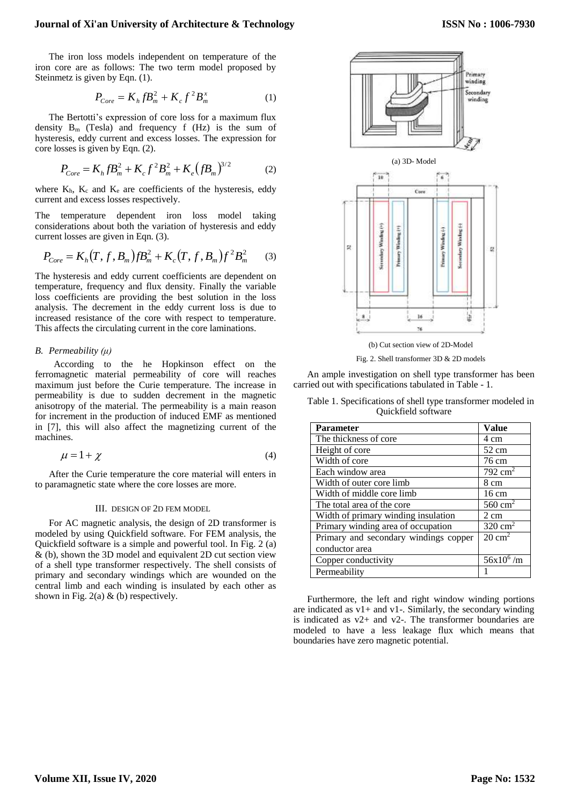## **Journal of Xi'an University of Architecture & Technology**

The iron loss models independent on temperature of the iron core are as follows: The two term model proposed by Steinmetz is given by Eqn. (1).

$$
P_{Core} = K_h f B_m^2 + K_c f^2 B_m^x \tag{1}
$$

The Bertotti's expression of core loss for a maximum flux density  $B_m$  (Tesla) and frequency f (Hz) is the sum of hysteresis, eddy current and excess losses. The expression for core losses is given by Eqn. (2).

$$
P_{Core} = K_h f B_m^2 + K_c f^2 B_m^2 + K_e (f B_m)^{3/2}
$$
 (2)

where  $K_h$ ,  $K_c$  and  $K_e$  are coefficients of the hysteresis, eddy current and excess losses respectively.

The temperature dependent iron loss model taking considerations about both the variation of hysteresis and eddy current losses are given in Eqn. (3).

$$
P_{Core} = K_h(T, f, B_m) f B_m^2 + K_c(T, f, B_m) f^2 B_m^2 \tag{3}
$$

The hysteresis and eddy current coefficients are dependent on temperature, frequency and flux density. Finally the variable loss coefficients are providing the best solution in the loss analysis. The decrement in the eddy current loss is due to increased resistance of the core with respect to temperature. This affects the circulating current in the core laminations.

# *B. Permeability (μ)*

 According to the he Hopkinson effect on the ferromagnetic material permeability of core will reaches maximum just before the Curie temperature. The increase in permeability is due to sudden decrement in the magnetic anisotropy of the material. The permeability is a main reason for increment in the production of induced EMF as mentioned in [7], this will also affect the magnetizing current of the machines.

$$
\mu = 1 + \chi \tag{4}
$$

After the Curie temperature the core material will enters in to paramagnetic state where the core losses are more.

## III. DESIGN OF 2D FEM MODEL

For AC magnetic analysis, the design of 2D transformer is modeled by using Quickfield software. For FEM analysis, the Quickfield software is a simple and powerful tool. In Fig. 2 (a) & (b), shown the 3D model and equivalent 2D cut section view of a shell type transformer respectively. The shell consists of primary and secondary windings which are wounded on the central limb and each winding is insulated by each other as shown in Fig. 2(a)  $\&$  (b) respectively.



Fig. 2. Shell transformer 3D & 2D models

An ample investigation on shell type transformer has been carried out with specifications tabulated in Table - 1.

Table 1. Specifications of shell type transformer modeled in Quickfield software

| <b>Parameter</b>                      | <b>Value</b>       |
|---------------------------------------|--------------------|
| The thickness of core                 | 4 cm               |
| Height of core                        | $52 \text{ cm}$    |
| Width of core                         | 76 cm              |
| Each window area                      | $792 \text{ cm}^2$ |
| Width of outer core limb              | 8 cm               |
| Width of middle core limb             | $16 \text{ cm}$    |
| The total area of the core            | $560 \text{ cm}^2$ |
| Width of primary winding insulation   | $2 \text{ cm}$     |
| Primary winding area of occupation    | $320 \text{ cm}^2$ |
| Primary and secondary windings copper | $20 \text{ cm}^2$  |
| conductor area                        |                    |
| Copper conductivity                   | $56x10^6/m$        |
| Permeability                          |                    |

Furthermore, the left and right window winding portions are indicated as  $v1+$  and  $v1-$ . Similarly, the secondary winding is indicated as v2+ and v2-. The transformer boundaries are modeled to have a less leakage flux which means that boundaries have zero magnetic potential.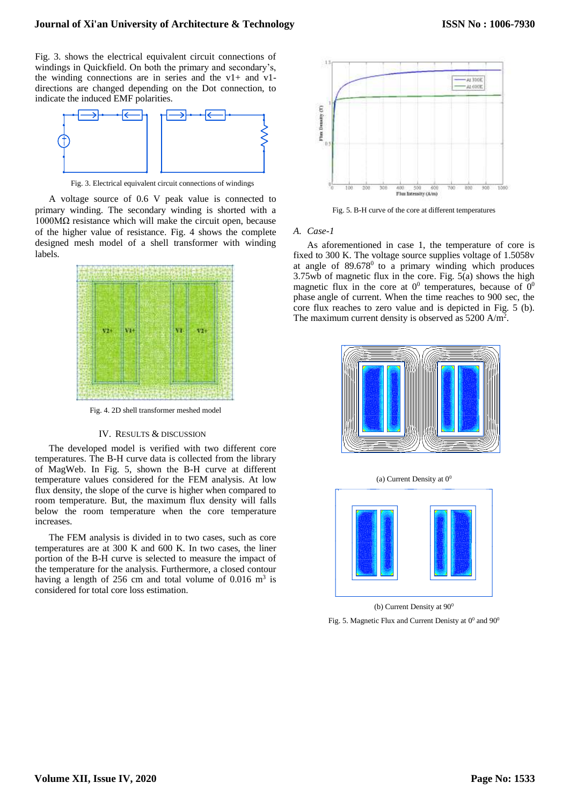Fig. 3. shows the electrical equivalent circuit connections of windings in Quickfield. On both the primary and secondary's, the winding connections are in series and the v1+ and v1 directions are changed depending on the Dot connection, to indicate the induced EMF polarities.



Fig. 3. Electrical equivalent circuit connections of windings

A voltage source of 0.6 V peak value is connected to primary winding. The secondary winding is shorted with a 1000MΩ resistance which will make the circuit open, because of the higher value of resistance. Fig. 4 shows the complete designed mesh model of a shell transformer with winding labels.



Fig. 4. 2D shell transformer meshed model

#### IV. RESULTS & DISCUSSION

The developed model is verified with two different core temperatures. The B-H curve data is collected from the library of MagWeb. In Fig. 5, shown the B-H curve at different temperature values considered for the FEM analysis. At low flux density, the slope of the curve is higher when compared to room temperature. But, the maximum flux density will falls below the room temperature when the core temperature increases.

The FEM analysis is divided in to two cases, such as core temperatures are at 300 K and 600 K. In two cases, the liner portion of the B-H curve is selected to measure the impact of the temperature for the analysis. Furthermore, a closed contour having a length of  $256$  cm and total volume of  $0.016$  m<sup>3</sup> is considered for total core loss estimation.



Fig. 5. B-H curve of the core at different temperatures

#### *A. Case-1*

As aforementioned in case 1, the temperature of core is fixed to 300 K. The voltage source supplies voltage of 1.5058v at angle of  $89.678^{\circ}$  to a primary winding which produces 3.75wb of magnetic flux in the core. Fig. 5(a) shows the high magnetic flux in the core at  $0^0$  temperatures, because of  $0^0$ phase angle of current. When the time reaches to 900 sec, the core flux reaches to zero value and is depicted in Fig. 5 (b). The maximum current density is observed as  $5200 \text{ A/m}^2$ .



(a) Current Density at  $0<sup>0</sup>$ 



(b) Current Density at  $90^0$ 

Fig. 5. Magnetic Flux and Current Denisty at  $0^0$  and  $90^0$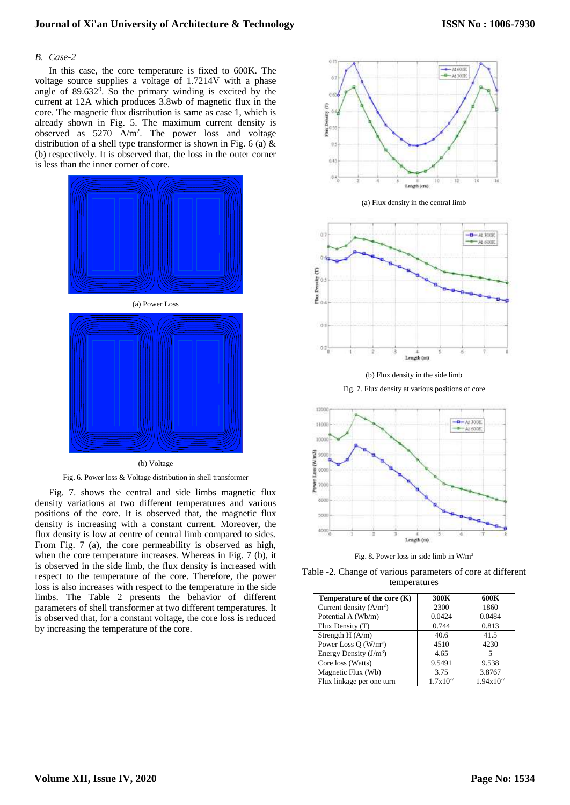# **Journal of Xi'an University of Architecture & Technology**

# *B. Case-2*

In this case, the core temperature is fixed to 600K. The voltage source supplies a voltage of 1.7214V with a phase angle of  $89.632^0$ . So the primary winding is excited by the current at 12A which produces 3.8wb of magnetic flux in the core. The magnetic flux distribution is same as case 1, which is already shown in Fig. 5. The maximum current density is observed as  $5270 \text{ A/m}^2$ . The power loss and voltage distribution of a shell type transformer is shown in Fig. 6 (a)  $\&$ (b) respectively. It is observed that, the loss in the outer corner is less than the inner corner of core.



Fig. 6. Power loss & Voltage distribution in shell transformer

Fig. 7. shows the central and side limbs magnetic flux density variations at two different temperatures and various positions of the core. It is observed that, the magnetic flux density is increasing with a constant current. Moreover, the flux density is low at centre of central limb compared to sides. From Fig. 7 (a), the core permeability is observed as high, when the core temperature increases. Whereas in Fig. 7 (b), it is observed in the side limb, the flux density is increased with respect to the temperature of the core. Therefore, the power loss is also increases with respect to the temperature in the side limbs. The Table 2 presents the behavior of different parameters of shell transformer at two different temperatures. It is observed that, for a constant voltage, the core loss is reduced by increasing the temperature of the core.



(a) Flux density in the central limb



(b) Flux density in the side limb

Fig. 7. Flux density at various positions of core



Fig. 8. Power loss in side limb in  $W/m<sup>3</sup>$ 

Table -2. Change of various parameters of core at different temperatures

| Temperature of the core $(K)$ | 300K                 | 600K           |
|-------------------------------|----------------------|----------------|
| Current density $(A/m2)$      | 2300                 | 1860           |
| Potential A (Wb/m)            | 0.0424               | 0.0484         |
| Flux Density (T)              | 0.744                | 0.813          |
| Strength $H(A/m)$             | 40.6                 | 41.5           |
| Power Loss O $(W/m^3)$        | 4510                 | 4230           |
| Energy Density $(J/m^3)$      | 4.65                 | 5              |
| Core loss (Watts)             | 9.5491               | 9.538          |
| Magnetic Flux (Wb)            | 3.75                 | 3.8767         |
| Flux linkage per one turn     | $1.7 \times 10^{-7}$ | $1.94x10^{-7}$ |